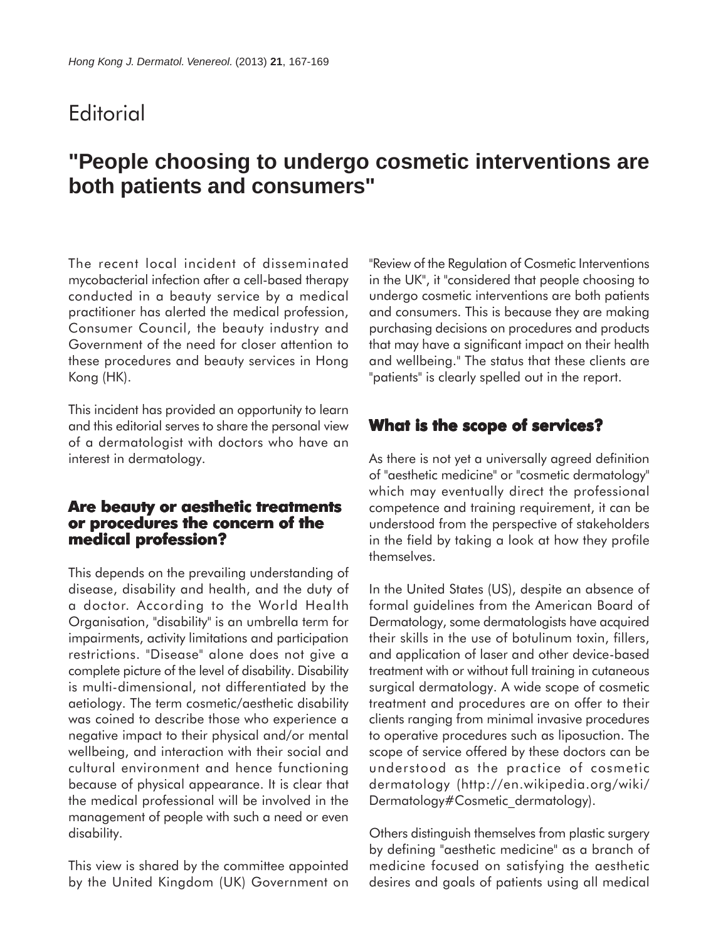## **Editorial**

# **"People choosing to undergo cosmetic interventions are both patients and consumers"**

The recent local incident of disseminated mycobacterial infection after a cell-based therapy conducted in a beauty service by a medical practitioner has alerted the medical profession, Consumer Council, the beauty industry and Government of the need for closer attention to these procedures and beauty services in Hong Kong (HK).

This incident has provided an opportunity to learn and this editorial serves to share the personal view of a dermatologist with doctors who have an interest in dermatology.

#### **Are beauty or aesthetic treatments or procedures the concern of the medical profession?**

This depends on the prevailing understanding of disease, disability and health, and the duty of a doctor. According to the World Health Organisation, "disability" is an umbrella term for impairments, activity limitations and participation restrictions. "Disease" alone does not give a complete picture of the level of disability. Disability is multi-dimensional, not differentiated by the aetiology. The term cosmetic/aesthetic disability was coined to describe those who experience a negative impact to their physical and/or mental wellbeing, and interaction with their social and cultural environment and hence functioning because of physical appearance. It is clear that the medical professional will be involved in the management of people with such a need or even disability.

This view is shared by the committee appointed by the United Kingdom (UK) Government on "Review of the Regulation of Cosmetic Interventions in the UK", it "considered that people choosing to undergo cosmetic interventions are both patients and consumers. This is because they are making purchasing decisions on procedures and products that may have a significant impact on their health and wellbeing." The status that these clients are "patients" is clearly spelled out in the report.

### **What is the scope of services?**

As there is not yet a universally agreed definition of "aesthetic medicine" or "cosmetic dermatology" which may eventually direct the professional competence and training requirement, it can be understood from the perspective of stakeholders in the field by taking a look at how they profile themselves.

In the United States (US), despite an absence of formal guidelines from the American Board of Dermatology, some dermatologists have acquired their skills in the use of botulinum toxin, fillers, and application of laser and other device-based treatment with or without full training in cutaneous surgical dermatology. A wide scope of cosmetic treatment and procedures are on offer to their clients ranging from minimal invasive procedures to operative procedures such as liposuction. The scope of service offered by these doctors can be understood as the practice of cosmetic dermatology (http://en.wikipedia.org/wiki/ Dermatology#Cosmetic\_dermatology).

Others distinguish themselves from plastic surgery by defining "aesthetic medicine" as a branch of medicine focused on satisfying the aesthetic desires and goals of patients using all medical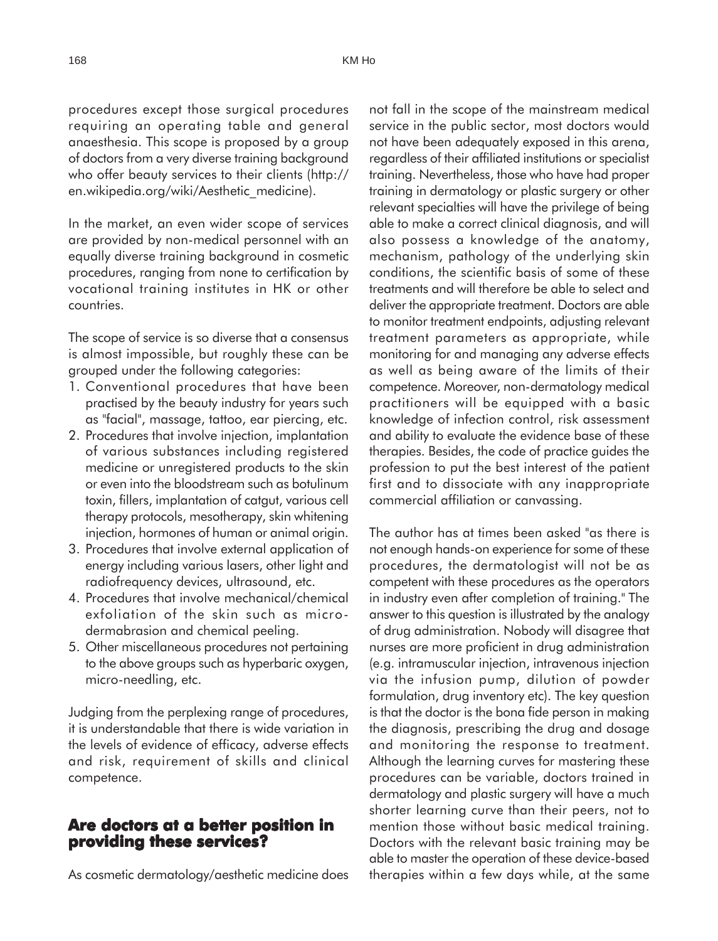procedures except those surgical procedures requiring an operating table and general anaesthesia. This scope is proposed by a group of doctors from a very diverse training background who offer beauty services to their clients (http:// en.wikipedia.org/wiki/Aesthetic\_medicine).

In the market, an even wider scope of services are provided by non-medical personnel with an equally diverse training background in cosmetic procedures, ranging from none to certification by vocational training institutes in HK or other countries.

The scope of service is so diverse that a consensus is almost impossible, but roughly these can be grouped under the following categories:

- 1. Conventional procedures that have been practised by the beauty industry for years such as "facial", massage, tattoo, ear piercing, etc.
- 2. Procedures that involve injection, implantation of various substances including registered medicine or unregistered products to the skin or even into the bloodstream such as botulinum toxin, fillers, implantation of catgut, various cell therapy protocols, mesotherapy, skin whitening injection, hormones of human or animal origin.
- 3. Procedures that involve external application of energy including various lasers, other light and radiofrequency devices, ultrasound, etc.
- 4. Procedures that involve mechanical/chemical exfoliation of the skin such as microdermabrasion and chemical peeling.
- 5. Other miscellaneous procedures not pertaining to the above groups such as hyperbaric oxygen, micro-needling, etc.

Judging from the perplexing range of procedures, it is understandable that there is wide variation in the levels of evidence of efficacy, adverse effects and risk, requirement of skills and clinical competence.

#### **Are doctors at a better position in providing these services?**

As cosmetic dermatology/aesthetic medicine does

not fall in the scope of the mainstream medical service in the public sector, most doctors would not have been adequately exposed in this arena, regardless of their affiliated institutions or specialist training. Nevertheless, those who have had proper training in dermatology or plastic surgery or other relevant specialties will have the privilege of being able to make a correct clinical diagnosis, and will also possess a knowledge of the anatomy, mechanism, pathology of the underlying skin conditions, the scientific basis of some of these treatments and will therefore be able to select and deliver the appropriate treatment. Doctors are able to monitor treatment endpoints, adjusting relevant treatment parameters as appropriate, while monitoring for and managing any adverse effects as well as being aware of the limits of their competence. Moreover, non-dermatology medical practitioners will be equipped with a basic knowledge of infection control, risk assessment and ability to evaluate the evidence base of these therapies. Besides, the code of practice guides the profession to put the best interest of the patient first and to dissociate with any inappropriate commercial affiliation or canvassing.

The author has at times been asked "as there is not enough hands-on experience for some of these procedures, the dermatologist will not be as competent with these procedures as the operators in industry even after completion of training." The answer to this question is illustrated by the analogy of drug administration. Nobody will disagree that nurses are more proficient in drug administration (e.g. intramuscular injection, intravenous injection via the infusion pump, dilution of powder formulation, drug inventory etc). The key question is that the doctor is the bona fide person in making the diagnosis, prescribing the drug and dosage and monitoring the response to treatment. Although the learning curves for mastering these procedures can be variable, doctors trained in dermatology and plastic surgery will have a much shorter learning curve than their peers, not to mention those without basic medical training. Doctors with the relevant basic training may be able to master the operation of these device-based therapies within a few days while, at the same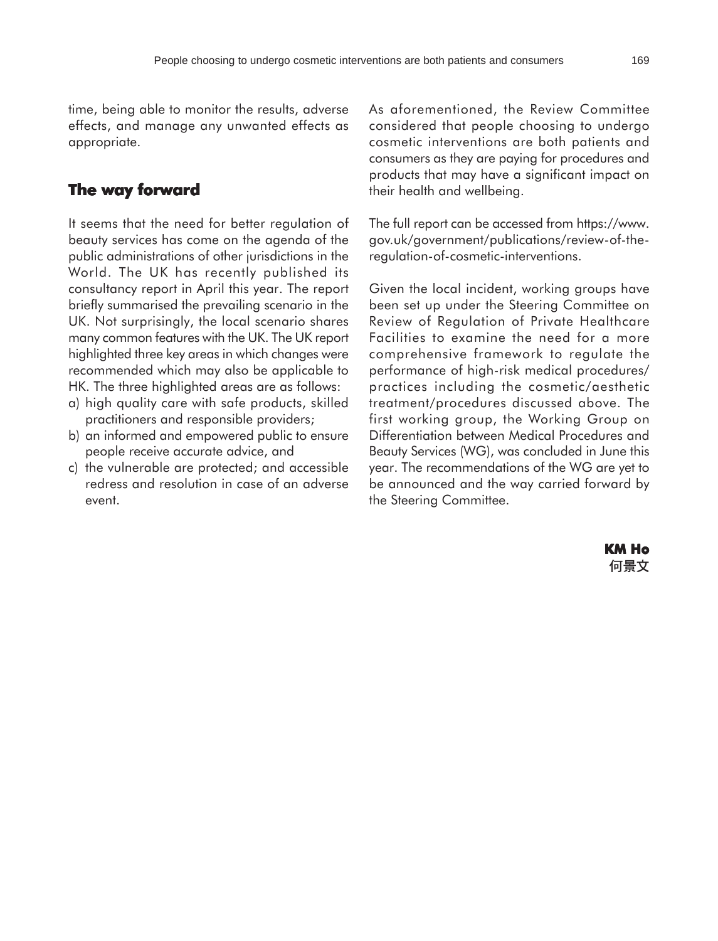time, being able to monitor the results, adverse effects, and manage any unwanted effects as appropriate.

### **The way forward**

It seems that the need for better regulation of beauty services has come on the agenda of the public administrations of other jurisdictions in the World. The UK has recently published its consultancy report in April this year. The report briefly summarised the prevailing scenario in the UK. Not surprisingly, the local scenario shares many common features with the UK. The UK report highlighted three key areas in which changes were recommended which may also be applicable to HK. The three highlighted areas are as follows:

- a) high quality care with safe products, skilled practitioners and responsible providers;
- b) an informed and empowered public to ensure people receive accurate advice, and
- c) the vulnerable are protected; and accessible redress and resolution in case of an adverse event.

As aforementioned, the Review Committee considered that people choosing to undergo cosmetic interventions are both patients and consumers as they are paying for procedures and products that may have a significant impact on their health and wellbeing.

The full report can be accessed from https://www. gov.uk/government/publications/review-of-theregulation-of-cosmetic-interventions.

Given the local incident, working groups have been set up under the Steering Committee on Review of Regulation of Private Healthcare Facilities to examine the need for a more comprehensive framework to regulate the performance of high-risk medical procedures/ practices including the cosmetic/aesthetic treatment/procedures discussed above. The first working group, the Working Group on Differentiation between Medical Procedures and Beauty Services (WG), was concluded in June this year. The recommendations of the WG are yet to be announced and the way carried forward by the Steering Committee.

> **KM Ho**何景文